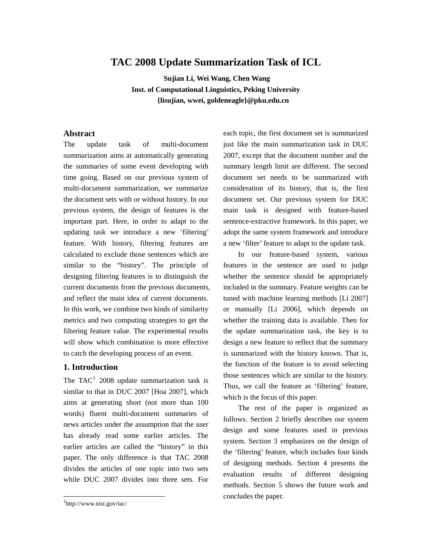# **TAC 2008 Update Summarization Task of ICL**

**Su jian Li, Wei Wang, Chen Wang Inst. of Computational Linguistics, Peking University {lisujian, wwei, goldeneagle}@pku.edu.cn** 

# **Abstract**

The update task of multi-document summarization aims at automatically generating the summaries of some event developing with time going. Based on our previous system of multi-document summarization, we summarize the document sets with or without history. In our previous system, the design of features is the important part. Here, in order to adapt to the updating task we introduce a new 'filtering' feature. With history, filtering features are calculated to exclude those sentences which are similar to the "history". The principle of designing filtering features is to distinguish the current documents from the previous documents, and reflect the main idea of current documents. In this work, we combine two kinds of similarity metrics and two computing strategies to get the filtering feature value. The experimental results will show which combination is more effective to catch the developing process of an event.

# **1. Introduction**

The TAC<sup>[1](#page-0-0)</sup> 2008 update summarization task is similar to that in DUC 2007 [Hoa 2007], which aims at generating short (not more than 100 words) fluent multi-document summaries of news articles under the assumption that the user has already read some earlier articles. The earlier articles are called the "history" in this paper. The only difference is that TAC 2008 divides the articles of one topic into two sets while DUC 2007 divides into three sets. For

<u>.</u>

each topic, the first document set is summarized just like the main summarization task in DUC 2007, except that the document number and the summary length limit are different. The second document set needs to be summarized with consideration of its history, that is, the first document set. Our previous system for DUC main task is designed with feature-based sentence-extractive framework. In this paper, we adopt the same system framework and introduce a new 'filter' feature to adapt to the update task.

In our feature-based system, various features in the sentence are used to judge whether the sentence should be appropriately included in the summary. Feature weights can be tuned with machine learning methods [Li 2007] or manually [Li 2006], which depends on whether the training data is available. Then for the update summarization task, the key is to design a new feature to reflect that the summary is summarized with the history known. That is, the function of the feature is to avoid selecting those sentences which are similar to the history. Thus, we call the feature as 'filtering' feature, which is the focus of this paper.

The rest of the paper is organized as follows. Section 2 briefly describes our system design and some features used in previous system. Section 3 emphasizes on the design of the 'filtering' feature, which includes four kinds of designing methods. Section 4 presents the evaluation results of different designing methods. Section 5 shows the future work and concludes the paper.

<span id="page-0-0"></span><sup>1</sup> http://www.nist.gov/tac/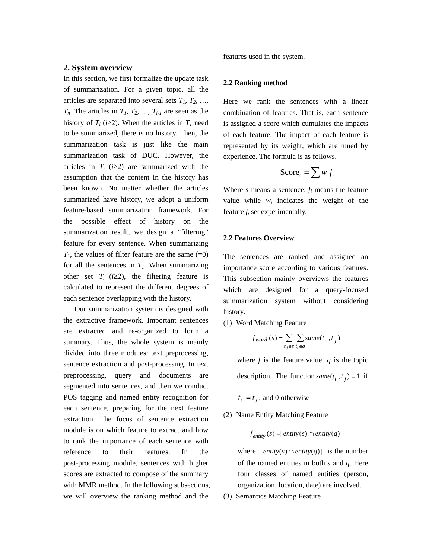## **2. System overview**

In this section, we first formalize the update task of summarization. For a given topic, all the articles are separated into several sets  $T_1, T_2, \ldots$ ,  $T_n$ . The articles in  $T_1$ ,  $T_2$ , ...,  $T_{i-1}$  are seen as the history of  $T_i$  ( $i \geq 2$ ). When the articles in  $T_i$  need to be summarized, there is no history. Then, the summarization task is just like the main summarization task of DUC. However, the articles in  $T_i$  ( $i \geq 2$ ) are summarized with the assumption that the content in the history has been known. No matter whether the articles summarized have history, we adopt a uniform feature-based summarization framework. For the possible effect of history on the summarization result, we design a "filtering" feature for every sentence. When summarizing  $T_1$ , the values of filter feature are the same  $(=0)$ for all the sentences in  $T<sub>1</sub>$ . When summarizing other set  $T_i$  ( $i \geq 2$ ), the filtering feature is calculated to represent the different degrees of each sentence overlapping with the history.

 Our summarization system is designed with the extractive framework. Important sentences are extracted and re-organized to form a summary. Thus, the whole system is mainly divided into three modules: text preprocessing, sentence extraction and post-processing. In text preprocessing, query and documents are segmented into sentences, and then we conduct POS tagging and named entity recognition for each sentence, preparing for the next feature extraction. The focus of sentence extraction module is on which feature to extract and how to rank the importance of each sentence with reference to their features. In the post-processing module, sentences with higher scores are extracted to compose of the summary with MMR method. In the following subsections, we will overview the ranking method and the

features used in the system.

### **2.2 Ranking method**

Here we rank the sentences with a linear combination of features. That is, each sentence is assigned a score which cumulates the impacts of each feature. The impact of each feature is represented by its weight, which are tuned by experience. The formula is as follows.

$$
Score_s = \sum w_i f_i
$$

Where *s* means a sentence, *fi* means the feature value while *wi* indicates the weight of the feature *fi* set experimentally.

#### **2.2 Features Overview**

The sentences are ranked and assigned an importance score according to various features. This subsection mainly overviews the features which are designed for a query-focused summarization system without considering history.

(1) Word Matching Feature

$$
f_{word}(s) = \sum_{t_j \in s} \sum_{t_i \in q} same(t_i, t_j)
$$

where  $f$  is the feature value,  $q$  is the topic description. The function  $same(t_i, t_j) = 1$  if

- $t_i = t_j$ , and 0 otherwise
- (2) Name Entity Matching Feature

$$
f_{entity}(s) = \text{entity}(s) \cap \text{entity}(q)
$$

where  $|$ *entity*(*s*) $\cap$ *entity*(*q*) $|$  is the number of the named entities in both *s* and *q*. Here four classes of named entities (person, organization, location, date) are involved.

(3) Semantics Matching Feature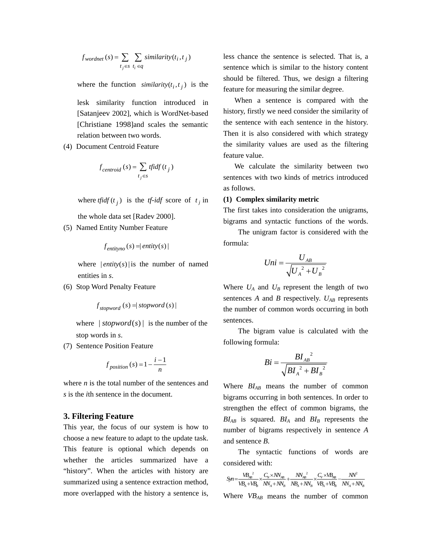$$
f_{wordnet}(s) = \sum_{t_j \in s} \sum_{t_i \in q} similarity(t_i, t_j)
$$

where the function *similarity* $(t_i, t_j)$  is the

lesk similarity function introduced in [Satanjeev 2002], which is WordNet-based [Christiane 1998]and scales the semantic relation between two words.

(4) Document Centroid Feature

$$
f_{centroid}(s) = \sum_{t_j \in s} \text{tfidf}(t_j)
$$

where *tfidf* ( $t_j$ ) is the *tf-idf* score of  $t_j$  in

the whole data set [Radev 2000].

(5) Named Entity Number Feature

$$
f_{\text{entityno}}(s) = |\text{entity}(s)|
$$

where  $|$ *entity* $(s)$ | is the number of named entities in *s*.

(6) Stop Word Penalty Feature

$$
f_{\textit{stopword}}(s) = |\textit{stopword}(s)|
$$

where  $| \text{stopword}(s) |$  is the number of the stop words in *s*.

(7) Sentence Position Feature

$$
f_{position}(s) = 1 - \frac{i - 1}{n}
$$

where  $n$  is the total number of the sentences and *s* is the *i*th sentence in the document.

## **3. Filtering Feature**

This year, the focus of our system is how to choose a new feature to adapt to the update task. This feature is optional which depends on whether the articles summarized have a "history". When the articles with history are summarized using a sentence extraction method, more overlapped with the history a sentence is, less chance the sentence is selected. That is, a sentence which is similar to the history content should be filtered. Thus, we design a filtering feature for measuring the similar degree.

 When a sentence is compared with the history, firstly we need consider the similarity of the sentence with each sentence in the history. Then it is also considered with which strategy the similarity values are used as the filtering feature value.

 We calculate the similarity between two sentences with two kinds of metrics introduced as follows.

#### **(1) Complex similarity metric**

The first takes into consideration the unigrams, bigrams and syntactic functions of the words.

The unigram factor is considered with the formula:

$$
Uni = \frac{U_{AB}}{\sqrt{U_A^2 + U_B^2}}
$$

Where  $U_A$  and  $U_B$  represent the length of two sentences *A* and *B* respectively.  $U_{AB}$  represents the number of common words occurring in both sentences.

 The bigram value is calculated with the following formula:

$$
Bi = \frac{BI_{AB}^{2}}{\sqrt{BI_{A}^{2} + BI_{B}^{2}}}
$$

Where  $BI_{AB}$  means the number of common bigrams occurring in both sentences. In order to strengthen the effect of common bigrams, the  $BI_{AB}$  is squared.  $BI_A$  and  $BI_B$  represents the number of bigrams respectively in sentence *A*  and sentence *B*.

 The syntactic functions of words are considered with:

$$
Syn = \frac{VB_{AB}^2}{VB_A + VB_B} \times \frac{C_N \times NN_{AB}}{NN_A + NN_B} + \frac{NN_{AB}^2}{NB_A + NN_B} \times \frac{C_V \times VB_{AB}}{VB_A + VB_B} - \frac{NN^2}{NN_A + NN_B}
$$

Where  $VB_{AB}$  means the number of common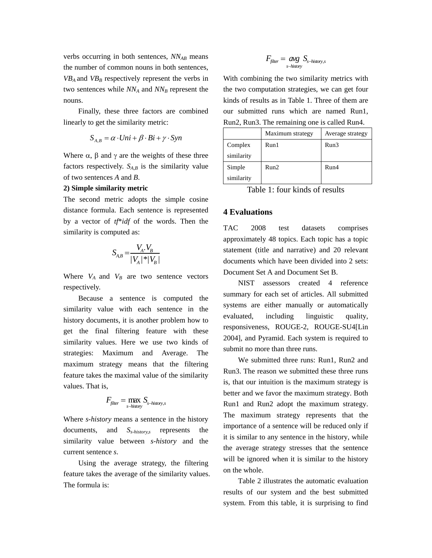verbs occurring in both sentences,  $NN_{AB}$  means the number of common nouns in both sentences,  $VB<sub>A</sub>$  and  $VB<sub>B</sub>$  respectively represent the verbs in two sentences while  $NN_A$  and  $NN_B$  represent the nouns.

 Finally, these three factors are combined linearly to get the similarity metric:

$$
S_{A,B} = \alpha \cdot Uni + \beta \cdot Bi + \gamma \cdot Syn
$$

Where  $\alpha$ ,  $\beta$  and  $\gamma$  are the weights of these three factors respectively.  $S_{A,B}$  is the similarity value of two sentences *A* and *B*.

### **2) Simple similarity metric**

The second metric adopts the simple cosine distance formula. Each sentence is represented by a vector of *tf*\**idf* of the words. Then the similarity is computed as:

$$
S_{A,B} = \frac{V_A.V_B}{|V_A|^*|V_B|}
$$

Where  $V_A$  and  $V_B$  are two sentence vectors respectively.

 Because a sentence is computed the similarity value with each sentence in the history documents, it is another problem how to get the final filtering feature with these similarity values. Here we use two kinds of strategies: Maximum and Average. The maximum strategy means that the filtering feature takes the maximal value of the similarity values. That is,

$$
F_{\text{filter}} = \max_{s \text{-history}} S_{s \text{-history},s}
$$

Where *s-history* means a sentence in the history documents, and *Ss-history,s* represents the similarity value between *s-history* and the current sentence *s*.

 Using the average strategy, the filtering feature takes the average of the similarity values. The formula is:

$$
F_{\text{filter}} = \underset{s\text{-history}}{\text{avg}} S_{s\text{-history,s}}
$$

With combining the two similarity metrics with the two computation strategies, we can get four kinds of results as in Table 1. Three of them are our submitted runs which are named Run1, Run2, Run3. The remaining one is called Run4.

|            | Maximum strategy | Average strategy |
|------------|------------------|------------------|
| Complex    | Run1             | Run3             |
| similarity |                  |                  |
| Simple     | Run2             | Run4             |
| similarity |                  |                  |

Table 1: four kinds of results

# **4 Evaluations**

TAC 2008 test datasets comprises approximately 48 topics. Each topic has a topic statement (title and narrative) and 20 relevant documents which have been divided into 2 sets: Document Set A and Document Set B.

 NIST assessors created 4 reference summary for each set of articles. All submitted systems are either manually or automatically evaluated, including linguistic quality, responsiveness, ROUGE-2, ROUGE-SU4[Lin 2004], and Pyramid. Each system is required to submit no more than three runs.

We submitted three runs: Run1, Run2 and Run3. The reason we submitted these three runs is, that our intuition is the maximum strategy is better and we favor the maximum strategy. Both Run1 and Run2 adopt the maximum strategy. The maximum strategy represents that the importance of a sentence will be reduced only if it is similar to any sentence in the history, while the average strategy stresses that the sentence will be ignored when it is similar to the history on the whole.

 Table 2 illustrates the automatic evaluation results of our system and the best submitted system. From this table, it is surprising to find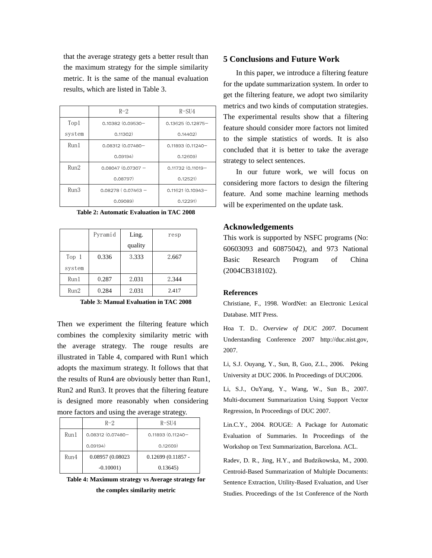that the average strategy gets a better result than the maximum strategy for the simple similarity metric. It is the same of the manual evaluation results, which are listed in Table 3.

|        | $R-2$               | $R-SU4$             |
|--------|---------------------|---------------------|
| Top1   | 0.10382 (0.09530-   | $0.13625(0.12875 -$ |
| system | 0.11302)            | 0.14402)            |
| Run1   | 0.08312 (0.07480-   | $0.11893(0.11240 -$ |
|        | 0.09194)            | 0.12609)            |
| Run2   | $0.08047(0.07307 -$ | $0.11732(0.11019 -$ |
|        | 0.08797)            | 0.12521)            |
| Run3   | $0.08278(0.07463 -$ | 0.11621 (0.10943-   |
|        | 0.09089)            | 0.12291)            |

| Table 2: Automatic Evaluation in TAC 2008 |  |  |
|-------------------------------------------|--|--|
|-------------------------------------------|--|--|

|        | Pyramid | Ling.   | resp  |
|--------|---------|---------|-------|
|        |         | quality |       |
| Top 1  | 0.336   | 3.333   | 2.667 |
| system |         |         |       |
| Run1   | 0.287   | 2.031   | 2.344 |
| Run2   | 0.284   | 2.031   | 2.417 |

**Table 3: Manual Evaluation in TAC 2008** 

Then we experiment the filtering feature which combines the complexity similarity metric with the average strategy. The rouge results are illustrated in Table 4, compared with Run1 which adopts the maximum strategy. It follows that that the results of Run4 are obviously better than Run1, Run2 and Run3. It proves that the filtering feature is designed more reasonably when considering more factors and using the average strategy.

|      | $R-2$             | R-SU4               |
|------|-------------------|---------------------|
| Run1 | 0.08312 (0.07480- | $0.11893(0.11240 -$ |
|      | 0.09194)          | 0.12609)            |
| Run4 | 0.08957 (0.08023  | $0.12699(0.11857 -$ |
|      | $-0.10001$        | 0.13645             |

**Table 4: Maximum strategy vs Average strategy for the complex similarity metric** 

# **5 Conclusions and Future Work**

In this paper, we introduce a filtering feature for the update summarization system. In order to get the filtering feature, we adopt two similarity metrics and two kinds of computation strategies. The experimental results show that a filtering feature should consider more factors not limited to the simple statistics of words. It is also concluded that it is better to take the average strategy to select sentences.

In our future work, we will focus on considering more factors to design the filtering feature. And some machine learning methods will be experimented on the update task.

### **Acknowledgements**

This work is supported by NSFC programs (No: 60603093 and 60875042), and 973 National Basic Research Program of China (2004CB318102).

#### **References**

Christiane, F., 1998. WordNet: an Electronic Lexical Database. MIT Press.

Hoa T. D.. *Overview of DUC 2007*. Document Understanding Conference 2007 http://duc.nist.gov, 2007.

Li, S.J. Ouyang, Y., Sun, B, Guo, Z.L., 2006. Peking University at DUC 2006. In Proceedings of DUC2006.

Li, S.J., OuYang, Y., Wang, W., Sun B., 2007. Multi-document Summarization Using Support Vector Regression, In Proceedings of DUC 2007.

Lin.C.Y., 2004. ROUGE: A Package for Automatic Evaluation of Summaries. In Proceedings of the Workshop on Text Summarization, Barcelona. ACL.

Radev, D. R., Jing, H.Y., and Budzikowska, M., 2000. Centroid-Based Summarization of Multiple Documents: Sentence Extraction, Utility-Based Evaluation, and User Studies. Proceedings of the 1st Conference of the North